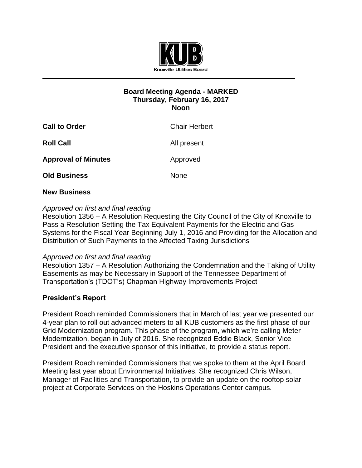

# **Board Meeting Agenda - MARKED Thursday, February 16, 2017 Noon**

| <b>Call to Order</b>       | <b>Chair Herbert</b> |
|----------------------------|----------------------|
| <b>Roll Call</b>           | All present          |
| <b>Approval of Minutes</b> | Approved             |
| <b>Old Business</b>        | <b>None</b>          |

## **New Business**

# *Approved on first and final reading*

Resolution 1356 – A Resolution Requesting the City Council of the City of Knoxville to Pass a Resolution Setting the Tax Equivalent Payments for the Electric and Gas Systems for the Fiscal Year Beginning July 1, 2016 and Providing for the Allocation and Distribution of Such Payments to the Affected Taxing Jurisdictions

## *Approved on first and final reading*

Resolution 1357 – A Resolution Authorizing the Condemnation and the Taking of Utility Easements as may be Necessary in Support of the Tennessee Department of Transportation's (TDOT's) Chapman Highway Improvements Project

## **President's Report**

President Roach reminded Commissioners that in March of last year we presented our 4-year plan to roll out advanced meters to all KUB customers as the first phase of our Grid Modernization program. This phase of the program, which we're calling Meter Modernization, began in July of 2016. She recognized Eddie Black, Senior Vice President and the executive sponsor of this initiative, to provide a status report.

President Roach reminded Commissioners that we spoke to them at the April Board Meeting last year about Environmental Initiatives. She recognized Chris Wilson, Manager of Facilities and Transportation, to provide an update on the rooftop solar project at Corporate Services on the Hoskins Operations Center campus.